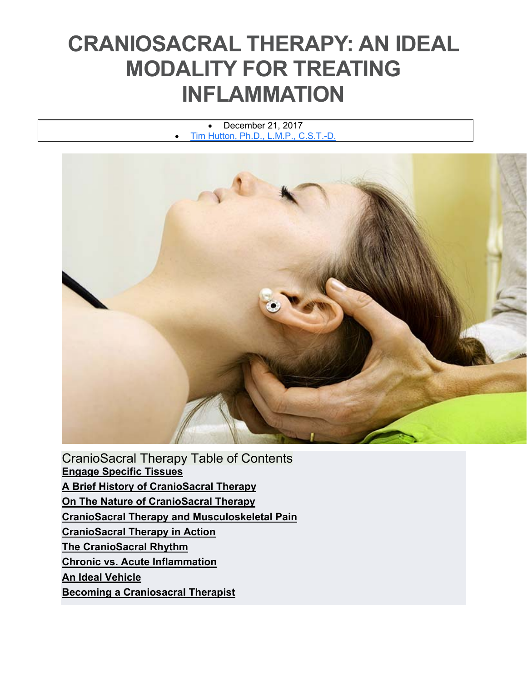# **CRANIOSACRAL THERAPY: AN IDEAL MODALITY FOR TREATING INFLAMMATION**

 December 21, 2017 Tim Hutton, Ph.D., L.M.P., C.S.T.-D.



CranioSacral Therapy Table of Contents **Engage Specific Tissues A Brief History of CranioSacral Therapy On The Nature of CranioSacral Therapy CranioSacral Therapy and Musculoskeletal Pain CranioSacral Therapy in Action The CranioSacral Rhythm Chronic vs. Acute Inflammation An Ideal Vehicle Becoming a Craniosacral Therapist**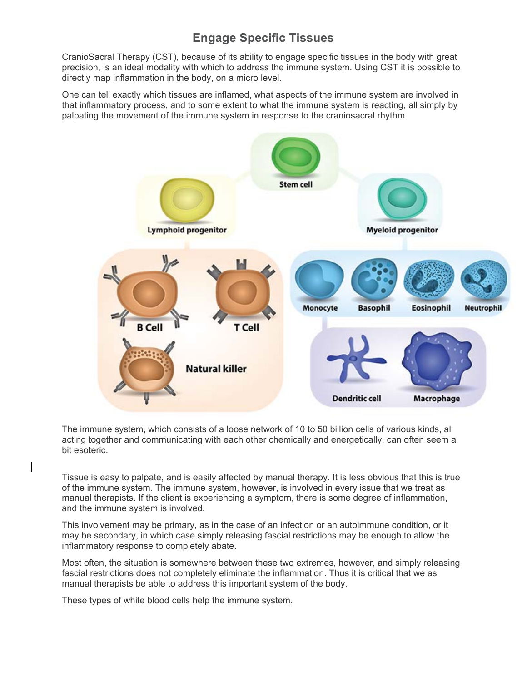## **Engage Specific Tissues**

CranioSacral Therapy (CST), because of its ability to engage specific tissues in the body with great precision, is an ideal modality with which to address the immune system. Using CST it is possible to directly map inflammation in the body, on a micro level.

One can tell exactly which tissues are inflamed, what aspects of the immune system are involved in that inflammatory process, and to some extent to what the immune system is reacting, all simply by palpating the movement of the immune system in response to the craniosacral rhythm.



The immune system, which consists of a loose network of 10 to 50 billion cells of various kinds, all acting together and communicating with each other chemically and energetically, can often seem a bit esoteric.

Tissue is easy to palpate, and is easily affected by manual therapy. It is less obvious that this is true of the immune system. The immune system, however, is involved in every issue that we treat as manual therapists. If the client is experiencing a symptom, there is some degree of inflammation, and the immune system is involved.

This involvement may be primary, as in the case of an infection or an autoimmune condition, or it may be secondary, in which case simply releasing fascial restrictions may be enough to allow the inflammatory response to completely abate.

Most often, the situation is somewhere between these two extremes, however, and simply releasing fascial restrictions does not completely eliminate the inflammation. Thus it is critical that we as manual therapists be able to address this important system of the body.

These types of white blood cells help the immune system.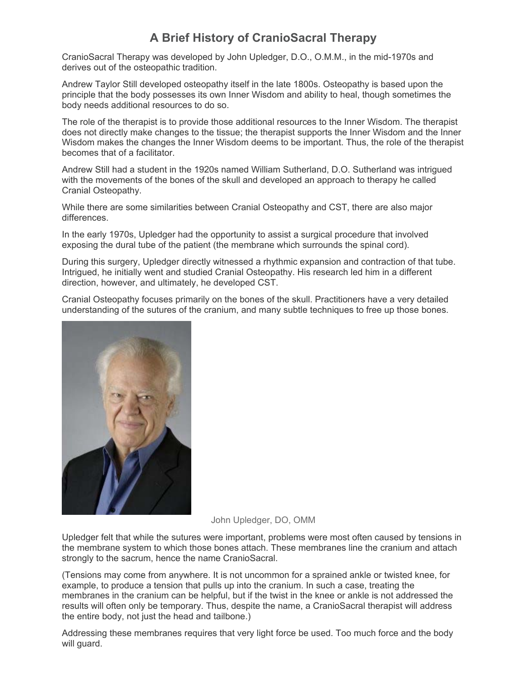## **A Brief History of CranioSacral Therapy**

CranioSacral Therapy was developed by John Upledger, D.O., O.M.M., in the mid-1970s and derives out of the osteopathic tradition.

Andrew Taylor Still developed osteopathy itself in the late 1800s. Osteopathy is based upon the principle that the body possesses its own Inner Wisdom and ability to heal, though sometimes the body needs additional resources to do so.

The role of the therapist is to provide those additional resources to the Inner Wisdom. The therapist does not directly make changes to the tissue; the therapist supports the Inner Wisdom and the Inner Wisdom makes the changes the Inner Wisdom deems to be important. Thus, the role of the therapist becomes that of a facilitator.

Andrew Still had a student in the 1920s named William Sutherland, D.O. Sutherland was intrigued with the movements of the bones of the skull and developed an approach to therapy he called Cranial Osteopathy.

While there are some similarities between Cranial Osteopathy and CST, there are also major differences.

In the early 1970s, Upledger had the opportunity to assist a surgical procedure that involved exposing the dural tube of the patient (the membrane which surrounds the spinal cord).

During this surgery, Upledger directly witnessed a rhythmic expansion and contraction of that tube. Intrigued, he initially went and studied Cranial Osteopathy. His research led him in a different direction, however, and ultimately, he developed CST.

Cranial Osteopathy focuses primarily on the bones of the skull. Practitioners have a very detailed understanding of the sutures of the cranium, and many subtle techniques to free up those bones.



John Upledger, DO, OMM

Upledger felt that while the sutures were important, problems were most often caused by tensions in the membrane system to which those bones attach. These membranes line the cranium and attach strongly to the sacrum, hence the name CranioSacral.

(Tensions may come from anywhere. It is not uncommon for a sprained ankle or twisted knee, for example, to produce a tension that pulls up into the cranium. In such a case, treating the membranes in the cranium can be helpful, but if the twist in the knee or ankle is not addressed the results will often only be temporary. Thus, despite the name, a CranioSacral therapist will address the entire body, not just the head and tailbone.)

Addressing these membranes requires that very light force be used. Too much force and the body will guard.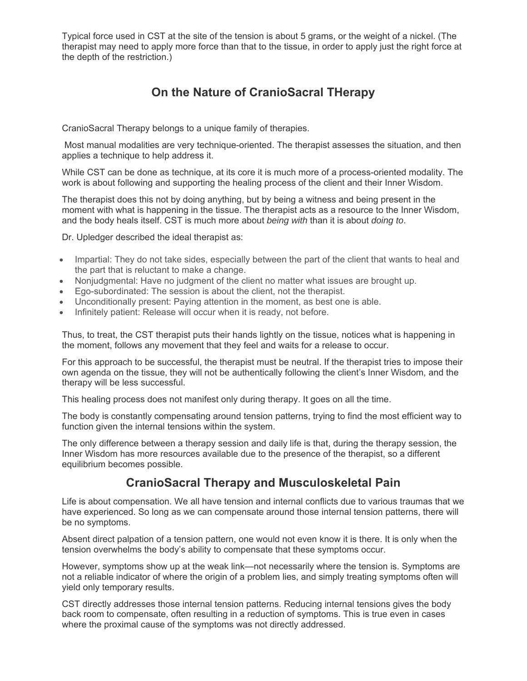Typical force used in CST at the site of the tension is about 5 grams, or the weight of a nickel. (The therapist may need to apply more force than that to the tissue, in order to apply just the right force at the depth of the restriction.)

## **On the Nature of CranioSacral THerapy**

CranioSacral Therapy belongs to a unique family of therapies.

 Most manual modalities are very technique-oriented. The therapist assesses the situation, and then applies a technique to help address it.

While CST can be done as technique, at its core it is much more of a process-oriented modality. The work is about following and supporting the healing process of the client and their Inner Wisdom.

The therapist does this not by doing anything, but by being a witness and being present in the moment with what is happening in the tissue. The therapist acts as a resource to the Inner Wisdom, and the body heals itself. CST is much more about *being with* than it is about *doing to*.

Dr. Upledger described the ideal therapist as:

- Impartial: They do not take sides, especially between the part of the client that wants to heal and the part that is reluctant to make a change.
- Nonjudgmental: Have no judgment of the client no matter what issues are brought up.
- Ego-subordinated: The session is about the client, not the therapist.
- Unconditionally present: Paying attention in the moment, as best one is able.
- Infinitely patient: Release will occur when it is ready, not before.

Thus, to treat, the CST therapist puts their hands lightly on the tissue, notices what is happening in the moment, follows any movement that they feel and waits for a release to occur.

For this approach to be successful, the therapist must be neutral. If the therapist tries to impose their own agenda on the tissue, they will not be authentically following the client's Inner Wisdom, and the therapy will be less successful.

This healing process does not manifest only during therapy. It goes on all the time.

The body is constantly compensating around tension patterns, trying to find the most efficient way to function given the internal tensions within the system.

The only difference between a therapy session and daily life is that, during the therapy session, the Inner Wisdom has more resources available due to the presence of the therapist, so a different equilibrium becomes possible.

#### **CranioSacral Therapy and Musculoskeletal Pain**

Life is about compensation. We all have tension and internal conflicts due to various traumas that we have experienced. So long as we can compensate around those internal tension patterns, there will be no symptoms.

Absent direct palpation of a tension pattern, one would not even know it is there. It is only when the tension overwhelms the body's ability to compensate that these symptoms occur.

However, symptoms show up at the weak link—not necessarily where the tension is. Symptoms are not a reliable indicator of where the origin of a problem lies, and simply treating symptoms often will yield only temporary results.

CST directly addresses those internal tension patterns. Reducing internal tensions gives the body back room to compensate, often resulting in a reduction of symptoms. This is true even in cases where the proximal cause of the symptoms was not directly addressed.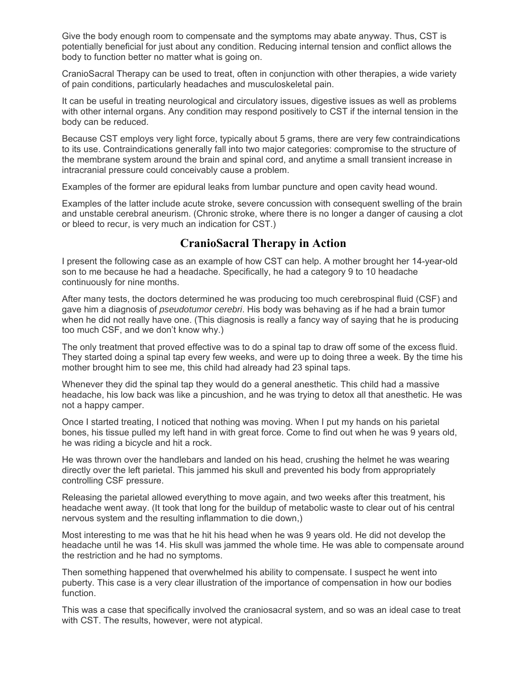Give the body enough room to compensate and the symptoms may abate anyway. Thus, CST is potentially beneficial for just about any condition. Reducing internal tension and conflict allows the body to function better no matter what is going on.

CranioSacral Therapy can be used to treat, often in conjunction with other therapies, a wide variety of pain conditions, particularly headaches and musculoskeletal pain.

It can be useful in treating neurological and circulatory issues, digestive issues as well as problems with other internal organs. Any condition may respond positively to CST if the internal tension in the body can be reduced.

Because CST employs very light force, typically about 5 grams, there are very few contraindications to its use. Contraindications generally fall into two major categories: compromise to the structure of the membrane system around the brain and spinal cord, and anytime a small transient increase in intracranial pressure could conceivably cause a problem.

Examples of the former are epidural leaks from lumbar puncture and open cavity head wound.

Examples of the latter include acute stroke, severe concussion with consequent swelling of the brain and unstable cerebral aneurism. (Chronic stroke, where there is no longer a danger of causing a clot or bleed to recur, is very much an indication for CST.)

### **CranioSacral Therapy in Action**

I present the following case as an example of how CST can help. A mother brought her 14-year-old son to me because he had a headache. Specifically, he had a category 9 to 10 headache continuously for nine months.

After many tests, the doctors determined he was producing too much cerebrospinal fluid (CSF) and gave him a diagnosis of *pseudotumor cerebri*. His body was behaving as if he had a brain tumor when he did not really have one. (This diagnosis is really a fancy way of saying that he is producing too much CSF, and we don't know why.)

The only treatment that proved effective was to do a spinal tap to draw off some of the excess fluid. They started doing a spinal tap every few weeks, and were up to doing three a week. By the time his mother brought him to see me, this child had already had 23 spinal taps.

Whenever they did the spinal tap they would do a general anesthetic. This child had a massive headache, his low back was like a pincushion, and he was trying to detox all that anesthetic. He was not a happy camper.

Once I started treating, I noticed that nothing was moving. When I put my hands on his parietal bones, his tissue pulled my left hand in with great force. Come to find out when he was 9 years old, he was riding a bicycle and hit a rock.

He was thrown over the handlebars and landed on his head, crushing the helmet he was wearing directly over the left parietal. This jammed his skull and prevented his body from appropriately controlling CSF pressure.

Releasing the parietal allowed everything to move again, and two weeks after this treatment, his headache went away. (It took that long for the buildup of metabolic waste to clear out of his central nervous system and the resulting inflammation to die down,)

Most interesting to me was that he hit his head when he was 9 years old. He did not develop the headache until he was 14. His skull was jammed the whole time. He was able to compensate around the restriction and he had no symptoms.

Then something happened that overwhelmed his ability to compensate. I suspect he went into puberty. This case is a very clear illustration of the importance of compensation in how our bodies function.

This was a case that specifically involved the craniosacral system, and so was an ideal case to treat with CST. The results, however, were not atypical.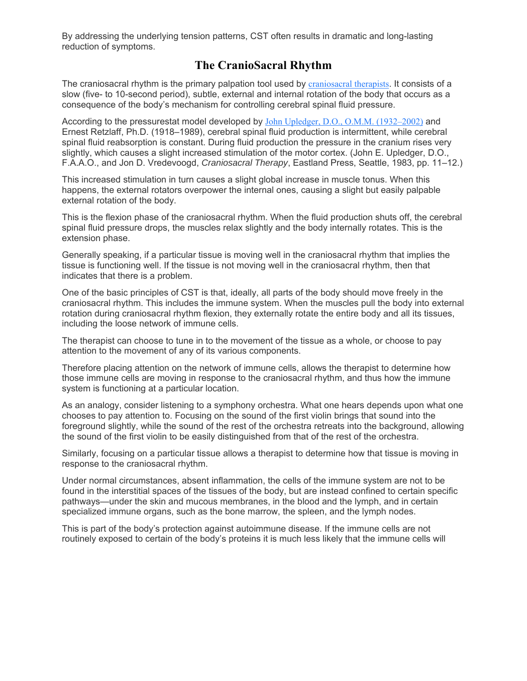By addressing the underlying tension patterns, CST often results in dramatic and long-lasting reduction of symptoms.

### **The CranioSacral Rhythm**

The craniosacral rhythm is the primary palpation tool used by craniosacral therapists. It consists of a slow (five- to 10-second period), subtle, external and internal rotation of the body that occurs as a consequence of the body's mechanism for controlling cerebral spinal fluid pressure.

According to the pressurestat model developed by John Upledger, D.O., O.M.M. (1932–2002) and Ernest Retzlaff, Ph.D. (1918–1989), cerebral spinal fluid production is intermittent, while cerebral spinal fluid reabsorption is constant. During fluid production the pressure in the cranium rises very slightly, which causes a slight increased stimulation of the motor cortex. (John E. Upledger, D.O., F.A.A.O., and Jon D. Vredevoogd, *Craniosacral Therapy*, Eastland Press, Seattle, 1983, pp. 11–12.)

This increased stimulation in turn causes a slight global increase in muscle tonus. When this happens, the external rotators overpower the internal ones, causing a slight but easily palpable external rotation of the body.

This is the flexion phase of the craniosacral rhythm. When the fluid production shuts off, the cerebral spinal fluid pressure drops, the muscles relax slightly and the body internally rotates. This is the extension phase.

Generally speaking, if a particular tissue is moving well in the craniosacral rhythm that implies the tissue is functioning well. If the tissue is not moving well in the craniosacral rhythm, then that indicates that there is a problem.

One of the basic principles of CST is that, ideally, all parts of the body should move freely in the craniosacral rhythm. This includes the immune system. When the muscles pull the body into external rotation during craniosacral rhythm flexion, they externally rotate the entire body and all its tissues, including the loose network of immune cells.

The therapist can choose to tune in to the movement of the tissue as a whole, or choose to pay attention to the movement of any of its various components.

Therefore placing attention on the network of immune cells, allows the therapist to determine how those immune cells are moving in response to the craniosacral rhythm, and thus how the immune system is functioning at a particular location.

As an analogy, consider listening to a symphony orchestra. What one hears depends upon what one chooses to pay attention to. Focusing on the sound of the first violin brings that sound into the foreground slightly, while the sound of the rest of the orchestra retreats into the background, allowing the sound of the first violin to be easily distinguished from that of the rest of the orchestra.

Similarly, focusing on a particular tissue allows a therapist to determine how that tissue is moving in response to the craniosacral rhythm.

Under normal circumstances, absent inflammation, the cells of the immune system are not to be found in the interstitial spaces of the tissues of the body, but are instead confined to certain specific pathways—under the skin and mucous membranes, in the blood and the lymph, and in certain specialized immune organs, such as the bone marrow, the spleen, and the lymph nodes.

This is part of the body's protection against autoimmune disease. If the immune cells are not routinely exposed to certain of the body's proteins it is much less likely that the immune cells will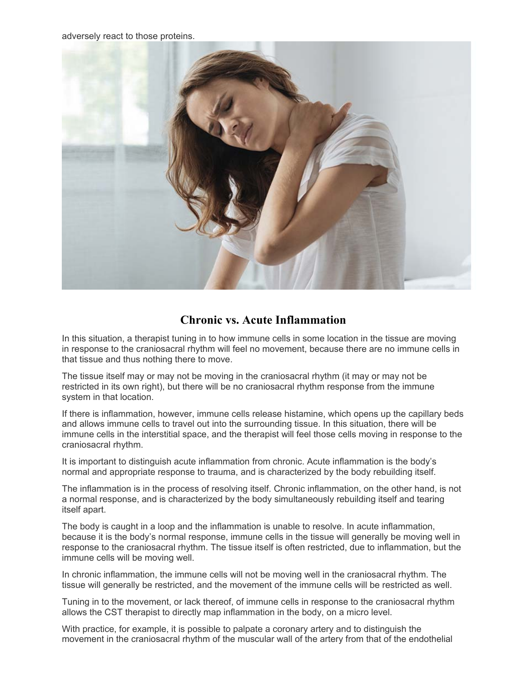adversely react to those proteins.



### **Chronic vs. Acute Inflammation**

In this situation, a therapist tuning in to how immune cells in some location in the tissue are moving in response to the craniosacral rhythm will feel no movement, because there are no immune cells in that tissue and thus nothing there to move.

The tissue itself may or may not be moving in the craniosacral rhythm (it may or may not be restricted in its own right), but there will be no craniosacral rhythm response from the immune system in that location.

If there is inflammation, however, immune cells release histamine, which opens up the capillary beds and allows immune cells to travel out into the surrounding tissue. In this situation, there will be immune cells in the interstitial space, and the therapist will feel those cells moving in response to the craniosacral rhythm.

It is important to distinguish acute inflammation from chronic. Acute inflammation is the body's normal and appropriate response to trauma, and is characterized by the body rebuilding itself.

The inflammation is in the process of resolving itself. Chronic inflammation, on the other hand, is not a normal response, and is characterized by the body simultaneously rebuilding itself and tearing itself apart.

The body is caught in a loop and the inflammation is unable to resolve. In acute inflammation, because it is the body's normal response, immune cells in the tissue will generally be moving well in response to the craniosacral rhythm. The tissue itself is often restricted, due to inflammation, but the immune cells will be moving well.

In chronic inflammation, the immune cells will not be moving well in the craniosacral rhythm. The tissue will generally be restricted, and the movement of the immune cells will be restricted as well.

Tuning in to the movement, or lack thereof, of immune cells in response to the craniosacral rhythm allows the CST therapist to directly map inflammation in the body, on a micro level.

With practice, for example, it is possible to palpate a coronary artery and to distinguish the movement in the craniosacral rhythm of the muscular wall of the artery from that of the endothelial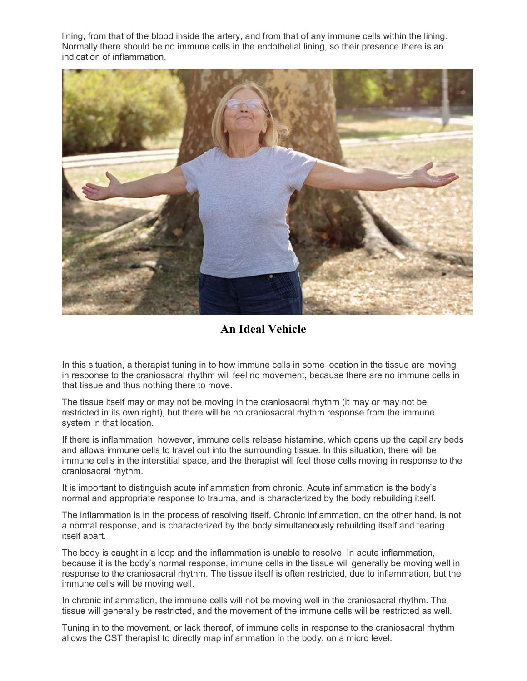lining, from that of the blood inside the artery, and from that of any immune cells within the lining. Normally there should be no immune cells in the endothelial lining, so their presence there is an indication of inflammation.



**An Ideal Vehicle** 

In this situation, a therapist tuning in to how immune cells in some location in the tissue are moving in response to the craniosacral rhythm will feel no movement, because there are no immune cells in that tissue and thus nothing there to move.

The tissue itself may or may not be moving in the craniosacral rhythm (it may or may not be restricted in its own right), but there will be no craniosacral rhythm response from the immune system in that location.

If there is inflammation, however, immune cells release histamine, which opens up the capillary beds and allows immune cells to travel out into the surrounding tissue. In this situation, there will be immune cells in the interstitial space, and the therapist will feel those cells moving in response to the craniosacral rhythm.

It is important to distinguish acute inflammation from chronic. Acute inflammation is the body's normal and appropriate response to trauma, and is characterized by the body rebuilding itself.

The inflammation is in the process of resolving itself. Chronic inflammation, on the other hand, is not a normal response, and is characterized by the body simultaneously rebuilding itself and tearing itself apart.

The body is caught in a loop and the inflammation is unable to resolve. In acute inflammation, because it is the body's normal response, immune cells in the tissue will generally be moving well in response to the craniosacral rhythm. The tissue itself is often restricted, due to inflammation, but the immune cells will be moving well.

In chronic inflammation, the immune cells will not be moving well in the craniosacral rhythm. The tissue will generally be restricted, and the movement of the immune cells will be restricted as well.

Tuning in to the movement, or lack thereof, of immune cells in response to the craniosacral rhythm allows the CST therapist to directly map inflammation in the body, on a micro level.